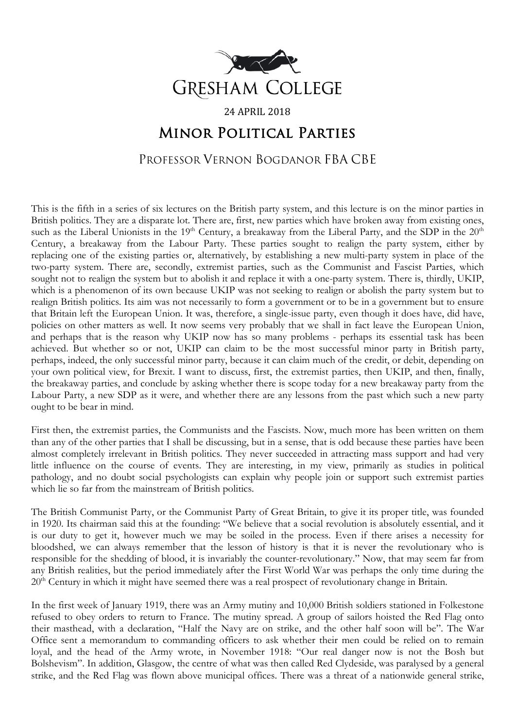

## 24 APRIL 2018 Minor Political Parties

PROFESSOR VERNON BOGDANOR FBA CBE

This is the fifth in a series of six lectures on the British party system, and this lecture is on the minor parties in British politics. They are a disparate lot. There are, first, new parties which have broken away from existing ones, such as the Liberal Unionists in the 19<sup>th</sup> Century, a breakaway from the Liberal Party, and the SDP in the 20<sup>th</sup> Century, a breakaway from the Labour Party. These parties sought to realign the party system, either by replacing one of the existing parties or, alternatively, by establishing a new multi-party system in place of the two-party system. There are, secondly, extremist parties, such as the Communist and Fascist Parties, which sought not to realign the system but to abolish it and replace it with a one-party system. There is, thirdly, UKIP, which is a phenomenon of its own because UKIP was not seeking to realign or abolish the party system but to realign British politics. Its aim was not necessarily to form a government or to be in a government but to ensure that Britain left the European Union. It was, therefore, a single-issue party, even though it does have, did have, policies on other matters as well. It now seems very probably that we shall in fact leave the European Union, and perhaps that is the reason why UKIP now has so many problems - perhaps its essential task has been achieved. But whether so or not, UKIP can claim to be the most successful minor party in British party, perhaps, indeed, the only successful minor party, because it can claim much of the credit, or debit, depending on your own political view, for Brexit. I want to discuss, first, the extremist parties, then UKIP, and then, finally, the breakaway parties, and conclude by asking whether there is scope today for a new breakaway party from the Labour Party, a new SDP as it were, and whether there are any lessons from the past which such a new party ought to be bear in mind.

First then, the extremist parties, the Communists and the Fascists. Now, much more has been written on them than any of the other parties that I shall be discussing, but in a sense, that is odd because these parties have been almost completely irrelevant in British politics. They never succeeded in attracting mass support and had very little influence on the course of events. They are interesting, in my view, primarily as studies in political pathology, and no doubt social psychologists can explain why people join or support such extremist parties which lie so far from the mainstream of British politics.

The British Communist Party, or the Communist Party of Great Britain, to give it its proper title, was founded in 1920. Its chairman said this at the founding: "We believe that a social revolution is absolutely essential, and it is our duty to get it, however much we may be soiled in the process. Even if there arises a necessity for bloodshed, we can always remember that the lesson of history is that it is never the revolutionary who is responsible for the shedding of blood, it is invariably the counter-revolutionary." Now, that may seem far from any British realities, but the period immediately after the First World War was perhaps the only time during the 20<sup>th</sup> Century in which it might have seemed there was a real prospect of revolutionary change in Britain.

In the first week of January 1919, there was an Army mutiny and 10,000 British soldiers stationed in Folkestone refused to obey orders to return to France. The mutiny spread. A group of sailors hoisted the Red Flag onto their masthead, with a declaration, "Half the Navy are on strike, and the other half soon will be". The War Office sent a memorandum to commanding officers to ask whether their men could be relied on to remain loyal, and the head of the Army wrote, in November 1918: "Our real danger now is not the Bosh but Bolshevism". In addition, Glasgow, the centre of what was then called Red Clydeside, was paralysed by a general strike, and the Red Flag was flown above municipal offices. There was a threat of a nationwide general strike,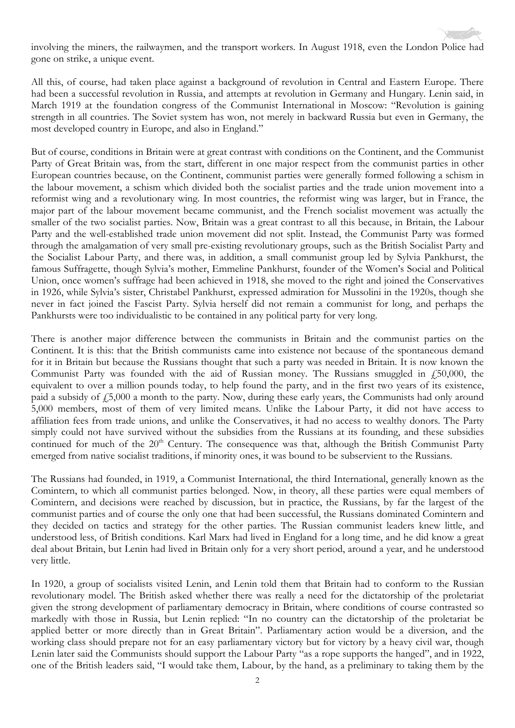involving the miners, the railwaymen, and the transport workers. In August 1918, even the London Police had gone on strike, a unique event.

All this, of course, had taken place against a background of revolution in Central and Eastern Europe. There had been a successful revolution in Russia, and attempts at revolution in Germany and Hungary. Lenin said, in March 1919 at the foundation congress of the Communist International in Moscow: "Revolution is gaining strength in all countries. The Soviet system has won, not merely in backward Russia but even in Germany, the most developed country in Europe, and also in England."

But of course, conditions in Britain were at great contrast with conditions on the Continent, and the Communist Party of Great Britain was, from the start, different in one major respect from the communist parties in other European countries because, on the Continent, communist parties were generally formed following a schism in the labour movement, a schism which divided both the socialist parties and the trade union movement into a reformist wing and a revolutionary wing. In most countries, the reformist wing was larger, but in France, the major part of the labour movement became communist, and the French socialist movement was actually the smaller of the two socialist parties. Now, Britain was a great contrast to all this because, in Britain, the Labour Party and the well-established trade union movement did not split. Instead, the Communist Party was formed through the amalgamation of very small pre-existing revolutionary groups, such as the British Socialist Party and the Socialist Labour Party, and there was, in addition, a small communist group led by Sylvia Pankhurst, the famous Suffragette, though Sylvia's mother, Emmeline Pankhurst, founder of the Women's Social and Political Union, once women's suffrage had been achieved in 1918, she moved to the right and joined the Conservatives in 1926, while Sylvia's sister, Christabel Pankhurst, expressed admiration for Mussolini in the 1920s, though she never in fact joined the Fascist Party. Sylvia herself did not remain a communist for long, and perhaps the Pankhursts were too individualistic to be contained in any political party for very long.

There is another major difference between the communists in Britain and the communist parties on the Continent. It is this: that the British communists came into existence not because of the spontaneous demand for it in Britain but because the Russians thought that such a party was needed in Britain. It is now known the Communist Party was founded with the aid of Russian money. The Russians smuggled in £50,000, the equivalent to over a million pounds today, to help found the party, and in the first two years of its existence, paid a subsidy of £5,000 a month to the party. Now, during these early years, the Communists had only around 5,000 members, most of them of very limited means. Unlike the Labour Party, it did not have access to affiliation fees from trade unions, and unlike the Conservatives, it had no access to wealthy donors. The Party simply could not have survived without the subsidies from the Russians at its founding, and these subsidies continued for much of the 20<sup>th</sup> Century. The consequence was that, although the British Communist Party emerged from native socialist traditions, if minority ones, it was bound to be subservient to the Russians.

The Russians had founded, in 1919, a Communist International, the third International, generally known as the Comintern, to which all communist parties belonged. Now, in theory, all these parties were equal members of Comintern, and decisions were reached by discussion, but in practice, the Russians, by far the largest of the communist parties and of course the only one that had been successful, the Russians dominated Comintern and they decided on tactics and strategy for the other parties. The Russian communist leaders knew little, and understood less, of British conditions. Karl Marx had lived in England for a long time, and he did know a great deal about Britain, but Lenin had lived in Britain only for a very short period, around a year, and he understood very little.

In 1920, a group of socialists visited Lenin, and Lenin told them that Britain had to conform to the Russian revolutionary model. The British asked whether there was really a need for the dictatorship of the proletariat given the strong development of parliamentary democracy in Britain, where conditions of course contrasted so markedly with those in Russia, but Lenin replied: "In no country can the dictatorship of the proletariat be applied better or more directly than in Great Britain". Parliamentary action would be a diversion, and the working class should prepare not for an easy parliamentary victory but for victory by a heavy civil war, though Lenin later said the Communists should support the Labour Party "as a rope supports the hanged", and in 1922, one of the British leaders said, "I would take them, Labour, by the hand, as a preliminary to taking them by the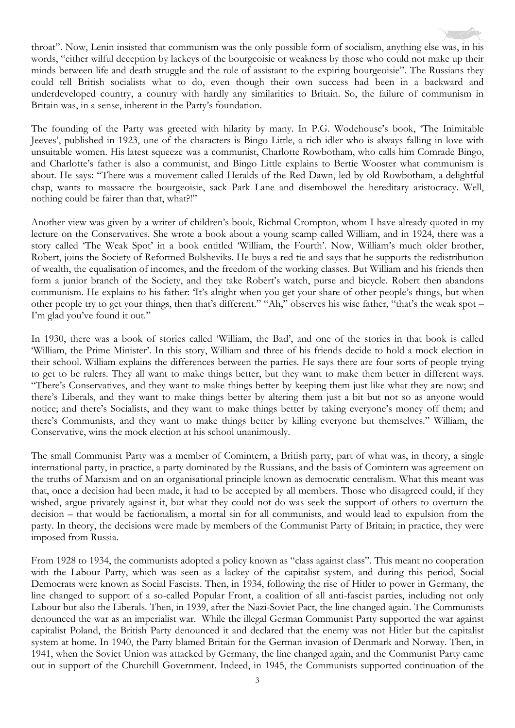throat". Now, Lenin insisted that communism was the only possible form of socialism, anything else was, in his words, "either wilful deception by lackeys of the bourgeoisie or weakness by those who could not make up their minds between life and death struggle and the role of assistant to the expiring bourgeoisie". The Russians they could tell British socialists what to do, even though their own success had been in a backward and underdeveloped country, a country with hardly any similarities to Britain. So, the failure of communism in Britain was, in a sense, inherent in the Party's foundation.

The founding of the Party was greeted with hilarity by many. In P.G. Wodehouse's book, 'The Inimitable Jeeves', published in 1923, one of the characters is Bingo Little, a rich idler who is always falling in love with unsuitable women. His latest squeeze was a communist, Charlotte Rowbotham, who calls him Comrade Bingo, and Charlotte's father is also a communist, and Bingo Little explains to Bertie Wooster what communism is about. He says: "There was a movement called Heralds of the Red Dawn, led by old Rowbotham, a delightful chap, wants to massacre the bourgeoisie, sack Park Lane and disembowel the hereditary aristocracy. Well, nothing could be fairer than that, what?!"

Another view was given by a writer of children's book, Richmal Crompton, whom I have already quoted in my lecture on the Conservatives. She wrote a book about a young scamp called William, and in 1924, there was a story called 'The Weak Spot' in a book entitled 'William, the Fourth'. Now, William's much older brother, Robert, joins the Society of Reformed Bolsheviks. He buys a red tie and says that he supports the redistribution of wealth, the equalisation of incomes, and the freedom of the working classes. But William and his friends then form a junior branch of the Society, and they take Robert's watch, purse and bicycle. Robert then abandons communism. He explains to his father: 'It's alright when you get your share of other people's things, but when other people try to get your things, then that's different." "Ah," observes his wise father, "that's the weak spot – I'm glad you've found it out."

In 1930, there was a book of stories called 'William, the Bad', and one of the stories in that book is called 'William, the Prime Minister'. In this story, William and three of his friends decide to hold a mock election in their school. William explains the differences between the parties. He says there are four sorts of people trying to get to be rulers. They all want to make things better, but they want to make them better in different ways. "There's Conservatives, and they want to make things better by keeping them just like what they are now; and there's Liberals, and they want to make things better by altering them just a bit but not so as anyone would notice; and there's Socialists, and they want to make things better by taking everyone's money off them; and there's Communists, and they want to make things better by killing everyone but themselves." William, the Conservative, wins the mock election at his school unanimously.

The small Communist Party was a member of Comintern, a British party, part of what was, in theory, a single international party, in practice, a party dominated by the Russians, and the basis of Comintern was agreement on the truths of Marxism and on an organisational principle known as democratic centralism. What this meant was that, once a decision had been made, it had to be accepted by all members. Those who disagreed could, if they wished, argue privately against it, but what they could not do was seek the support of others to overturn the decision – that would be factionalism, a mortal sin for all communists, and would lead to expulsion from the party. In theory, the decisions were made by members of the Communist Party of Britain; in practice, they were imposed from Russia.

From 1928 to 1934, the communists adopted a policy known as "class against class". This meant no cooperation with the Labour Party, which was seen as a lackey of the capitalist system, and during this period, Social Democrats were known as Social Fascists. Then, in 1934, following the rise of Hitler to power in Germany, the line changed to support of a so-called Popular Front, a coalition of all anti-fascist parties, including not only Labour but also the Liberals. Then, in 1939, after the Nazi-Soviet Pact, the line changed again. The Communists denounced the war as an imperialist war. While the illegal German Communist Party supported the war against capitalist Poland, the British Party denounced it and declared that the enemy was not Hitler but the capitalist system at home. In 1940, the Party blamed Britain for the German invasion of Denmark and Norway. Then, in 1941, when the Soviet Union was attacked by Germany, the line changed again, and the Communist Party came out in support of the Churchill Government. Indeed, in 1945, the Communists supported continuation of the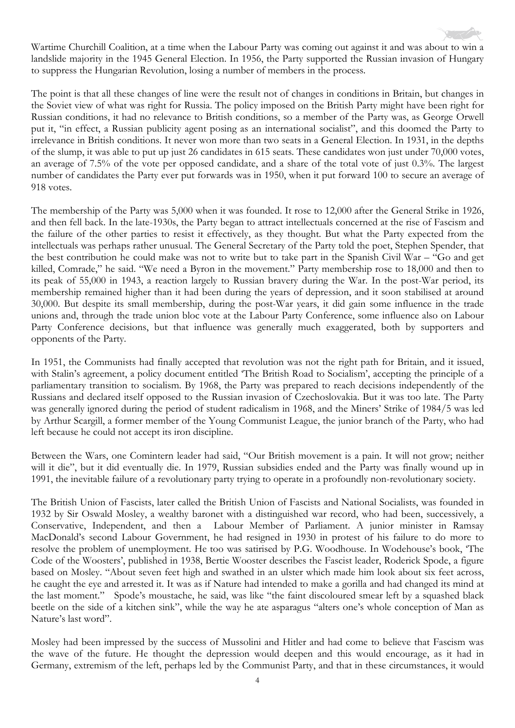Wartime Churchill Coalition, at a time when the Labour Party was coming out against it and was about to win a landslide majority in the 1945 General Election. In 1956, the Party supported the Russian invasion of Hungary to suppress the Hungarian Revolution, losing a number of members in the process.

The point is that all these changes of line were the result not of changes in conditions in Britain, but changes in the Soviet view of what was right for Russia. The policy imposed on the British Party might have been right for Russian conditions, it had no relevance to British conditions, so a member of the Party was, as George Orwell put it, "in effect, a Russian publicity agent posing as an international socialist", and this doomed the Party to irrelevance in British conditions. It never won more than two seats in a General Election. In 1931, in the depths of the slump, it was able to put up just 26 candidates in 615 seats. These candidates won just under 70,000 votes, an average of 7.5% of the vote per opposed candidate, and a share of the total vote of just 0.3%. The largest number of candidates the Party ever put forwards was in 1950, when it put forward 100 to secure an average of 918 votes.

The membership of the Party was 5,000 when it was founded. It rose to 12,000 after the General Strike in 1926, and then fell back. In the late-1930s, the Party began to attract intellectuals concerned at the rise of Fascism and the failure of the other parties to resist it effectively, as they thought. But what the Party expected from the intellectuals was perhaps rather unusual. The General Secretary of the Party told the poet, Stephen Spender, that the best contribution he could make was not to write but to take part in the Spanish Civil War – "Go and get killed, Comrade," he said. "We need a Byron in the movement." Party membership rose to 18,000 and then to its peak of 55,000 in 1943, a reaction largely to Russian bravery during the War. In the post-War period, its membership remained higher than it had been during the years of depression, and it soon stabilised at around 30,000. But despite its small membership, during the post-War years, it did gain some influence in the trade unions and, through the trade union bloc vote at the Labour Party Conference, some influence also on Labour Party Conference decisions, but that influence was generally much exaggerated, both by supporters and opponents of the Party.

In 1951, the Communists had finally accepted that revolution was not the right path for Britain, and it issued, with Stalin's agreement, a policy document entitled 'The British Road to Socialism', accepting the principle of a parliamentary transition to socialism. By 1968, the Party was prepared to reach decisions independently of the Russians and declared itself opposed to the Russian invasion of Czechoslovakia. But it was too late. The Party was generally ignored during the period of student radicalism in 1968, and the Miners' Strike of 1984/5 was led by Arthur Scargill, a former member of the Young Communist League, the junior branch of the Party, who had left because he could not accept its iron discipline.

Between the Wars, one Comintern leader had said, "Our British movement is a pain. It will not grow; neither will it die", but it did eventually die. In 1979, Russian subsidies ended and the Party was finally wound up in 1991, the inevitable failure of a revolutionary party trying to operate in a profoundly non-revolutionary society.

The British Union of Fascists, later called the British Union of Fascists and National Socialists, was founded in 1932 by Sir Oswald Mosley, a wealthy baronet with a distinguished war record, who had been, successively, a Conservative, Independent, and then a Labour Member of Parliament. A junior minister in Ramsay MacDonald's second Labour Government, he had resigned in 1930 in protest of his failure to do more to resolve the problem of unemployment. He too was satirised by P.G. Woodhouse. In Wodehouse's book, 'The Code of the Woosters', published in 1938, Bertie Wooster describes the Fascist leader, Roderick Spode, a figure based on Mosley. "About seven feet high and swathed in an ulster which made him look about six feet across, he caught the eye and arrested it. It was as if Nature had intended to make a gorilla and had changed its mind at the last moment." Spode's moustache, he said, was like "the faint discoloured smear left by a squashed black beetle on the side of a kitchen sink", while the way he ate asparagus "alters one's whole conception of Man as Nature's last word".

Mosley had been impressed by the success of Mussolini and Hitler and had come to believe that Fascism was the wave of the future. He thought the depression would deepen and this would encourage, as it had in Germany, extremism of the left, perhaps led by the Communist Party, and that in these circumstances, it would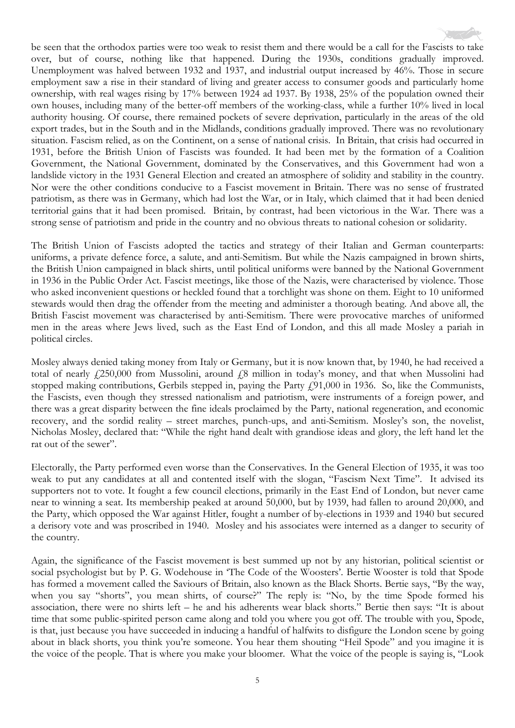be seen that the orthodox parties were too weak to resist them and there would be a call for the Fascists to take over, but of course, nothing like that happened. During the 1930s, conditions gradually improved. Unemployment was halved between 1932 and 1937, and industrial output increased by 46%. Those in secure employment saw a rise in their standard of living and greater access to consumer goods and particularly home ownership, with real wages rising by 17% between 1924 ad 1937. By 1938, 25% of the population owned their own houses, including many of the better-off members of the working-class, while a further 10% lived in local authority housing. Of course, there remained pockets of severe deprivation, particularly in the areas of the old export trades, but in the South and in the Midlands, conditions gradually improved. There was no revolutionary situation. Fascism relied, as on the Continent, on a sense of national crisis. In Britain, that crisis had occurred in 1931, before the British Union of Fascists was founded. It had been met by the formation of a Coalition Government, the National Government, dominated by the Conservatives, and this Government had won a landslide victory in the 1931 General Election and created an atmosphere of solidity and stability in the country. Nor were the other conditions conducive to a Fascist movement in Britain. There was no sense of frustrated patriotism, as there was in Germany, which had lost the War, or in Italy, which claimed that it had been denied territorial gains that it had been promised. Britain, by contrast, had been victorious in the War. There was a strong sense of patriotism and pride in the country and no obvious threats to national cohesion or solidarity.

The British Union of Fascists adopted the tactics and strategy of their Italian and German counterparts: uniforms, a private defence force, a salute, and anti-Semitism. But while the Nazis campaigned in brown shirts, the British Union campaigned in black shirts, until political uniforms were banned by the National Government in 1936 in the Public Order Act. Fascist meetings, like those of the Nazis, were characterised by violence. Those who asked inconvenient questions or heckled found that a torchlight was shone on them. Eight to 10 uniformed stewards would then drag the offender from the meeting and administer a thorough beating. And above all, the British Fascist movement was characterised by anti-Semitism. There were provocative marches of uniformed men in the areas where Jews lived, such as the East End of London, and this all made Mosley a pariah in political circles.

Mosley always denied taking money from Italy or Germany, but it is now known that, by 1940, he had received a total of nearly £250,000 from Mussolini, around £8 million in today's money, and that when Mussolini had stopped making contributions, Gerbils stepped in, paying the Party £91,000 in 1936. So, like the Communists, the Fascists, even though they stressed nationalism and patriotism, were instruments of a foreign power, and there was a great disparity between the fine ideals proclaimed by the Party, national regeneration, and economic recovery, and the sordid reality – street marches, punch-ups, and anti-Semitism. Mosley's son, the novelist, Nicholas Mosley, declared that: "While the right hand dealt with grandiose ideas and glory, the left hand let the rat out of the sewer".

Electorally, the Party performed even worse than the Conservatives. In the General Election of 1935, it was too weak to put any candidates at all and contented itself with the slogan, "Fascism Next Time". It advised its supporters not to vote. It fought a few council elections, primarily in the East End of London, but never came near to winning a seat. Its membership peaked at around 50,000, but by 1939, had fallen to around 20,000, and the Party, which opposed the War against Hitler, fought a number of by-elections in 1939 and 1940 but secured a derisory vote and was proscribed in 1940. Mosley and his associates were interned as a danger to security of the country.

Again, the significance of the Fascist movement is best summed up not by any historian, political scientist or social psychologist but by P. G. Wodehouse in 'The Code of the Woosters'. Bertie Wooster is told that Spode has formed a movement called the Saviours of Britain, also known as the Black Shorts. Bertie says, "By the way, when you say "shorts", you mean shirts, of course?" The reply is: "No, by the time Spode formed his association, there were no shirts left – he and his adherents wear black shorts." Bertie then says: "It is about time that some public-spirited person came along and told you where you got off. The trouble with you, Spode, is that, just because you have succeeded in inducing a handful of halfwits to disfigure the London scene by going about in black shorts, you think you're someone. You hear them shouting "Heil Spode" and you imagine it is the voice of the people. That is where you make your bloomer. What the voice of the people is saying is, "Look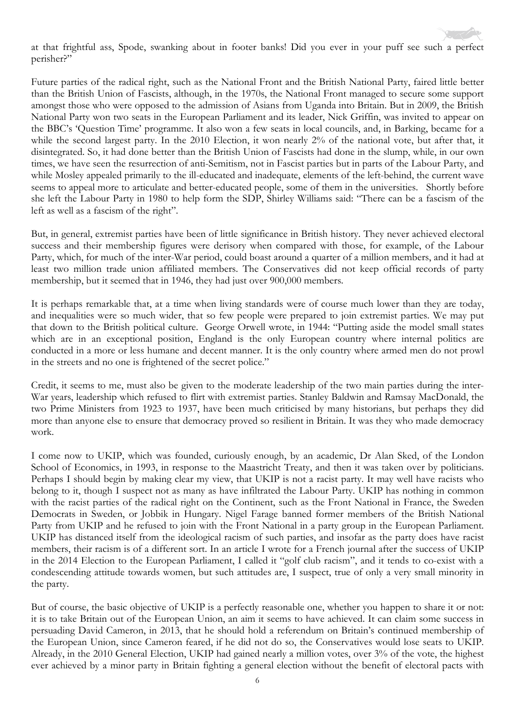at that frightful ass, Spode, swanking about in footer banks! Did you ever in your puff see such a perfect perisher?"

Future parties of the radical right, such as the National Front and the British National Party, faired little better than the British Union of Fascists, although, in the 1970s, the National Front managed to secure some support amongst those who were opposed to the admission of Asians from Uganda into Britain. But in 2009, the British National Party won two seats in the European Parliament and its leader, Nick Griffin, was invited to appear on the BBC's 'Question Time' programme. It also won a few seats in local councils, and, in Barking, became for a while the second largest party. In the 2010 Election, it won nearly 2% of the national vote, but after that, it disintegrated. So, it had done better than the British Union of Fascists had done in the slump, while, in our own times, we have seen the resurrection of anti-Semitism, not in Fascist parties but in parts of the Labour Party, and while Mosley appealed primarily to the ill-educated and inadequate, elements of the left-behind, the current wave seems to appeal more to articulate and better-educated people, some of them in the universities. Shortly before she left the Labour Party in 1980 to help form the SDP, Shirley Williams said: "There can be a fascism of the left as well as a fascism of the right".

But, in general, extremist parties have been of little significance in British history. They never achieved electoral success and their membership figures were derisory when compared with those, for example, of the Labour Party, which, for much of the inter-War period, could boast around a quarter of a million members, and it had at least two million trade union affiliated members. The Conservatives did not keep official records of party membership, but it seemed that in 1946, they had just over 900,000 members.

It is perhaps remarkable that, at a time when living standards were of course much lower than they are today, and inequalities were so much wider, that so few people were prepared to join extremist parties. We may put that down to the British political culture. George Orwell wrote, in 1944: "Putting aside the model small states which are in an exceptional position, England is the only European country where internal politics are conducted in a more or less humane and decent manner. It is the only country where armed men do not prowl in the streets and no one is frightened of the secret police."

Credit, it seems to me, must also be given to the moderate leadership of the two main parties during the inter-War years, leadership which refused to flirt with extremist parties. Stanley Baldwin and Ramsay MacDonald, the two Prime Ministers from 1923 to 1937, have been much criticised by many historians, but perhaps they did more than anyone else to ensure that democracy proved so resilient in Britain. It was they who made democracy work.

I come now to UKIP, which was founded, curiously enough, by an academic, Dr Alan Sked, of the London School of Economics, in 1993, in response to the Maastricht Treaty, and then it was taken over by politicians. Perhaps I should begin by making clear my view, that UKIP is not a racist party. It may well have racists who belong to it, though I suspect not as many as have infiltrated the Labour Party. UKIP has nothing in common with the racist parties of the radical right on the Continent, such as the Front National in France, the Sweden Democrats in Sweden, or Jobbik in Hungary. Nigel Farage banned former members of the British National Party from UKIP and he refused to join with the Front National in a party group in the European Parliament. UKIP has distanced itself from the ideological racism of such parties, and insofar as the party does have racist members, their racism is of a different sort. In an article I wrote for a French journal after the success of UKIP in the 2014 Election to the European Parliament, I called it "golf club racism", and it tends to co-exist with a condescending attitude towards women, but such attitudes are, I suspect, true of only a very small minority in the party.

But of course, the basic objective of UKIP is a perfectly reasonable one, whether you happen to share it or not: it is to take Britain out of the European Union, an aim it seems to have achieved. It can claim some success in persuading David Cameron, in 2013, that he should hold a referendum on Britain's continued membership of the European Union, since Cameron feared, if he did not do so, the Conservatives would lose seats to UKIP. Already, in the 2010 General Election, UKIP had gained nearly a million votes, over 3% of the vote, the highest ever achieved by a minor party in Britain fighting a general election without the benefit of electoral pacts with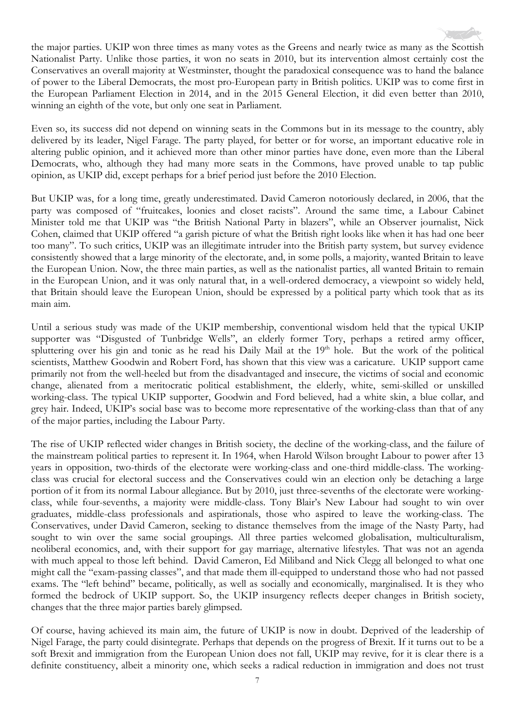the major parties. UKIP won three times as many votes as the Greens and nearly twice as many as the Scottish Nationalist Party. Unlike those parties, it won no seats in 2010, but its intervention almost certainly cost the Conservatives an overall majority at Westminster, thought the paradoxical consequence was to hand the balance of power to the Liberal Democrats, the most pro-European party in British politics. UKIP was to come first in the European Parliament Election in 2014, and in the 2015 General Election, it did even better than 2010, winning an eighth of the vote, but only one seat in Parliament.

Even so, its success did not depend on winning seats in the Commons but in its message to the country, ably delivered by its leader, Nigel Farage. The party played, for better or for worse, an important educative role in altering public opinion, and it achieved more than other minor parties have done, even more than the Liberal Democrats, who, although they had many more seats in the Commons, have proved unable to tap public opinion, as UKIP did, except perhaps for a brief period just before the 2010 Election.

But UKIP was, for a long time, greatly underestimated. David Cameron notoriously declared, in 2006, that the party was composed of "fruitcakes, loonies and closet racists". Around the same time, a Labour Cabinet Minister told me that UKIP was "the British National Party in blazers", while an Observer journalist, Nick Cohen, claimed that UKIP offered "a garish picture of what the British right looks like when it has had one beer too many". To such critics, UKIP was an illegitimate intruder into the British party system, but survey evidence consistently showed that a large minority of the electorate, and, in some polls, a majority, wanted Britain to leave the European Union. Now, the three main parties, as well as the nationalist parties, all wanted Britain to remain in the European Union, and it was only natural that, in a well-ordered democracy, a viewpoint so widely held, that Britain should leave the European Union, should be expressed by a political party which took that as its main aim.

Until a serious study was made of the UKIP membership, conventional wisdom held that the typical UKIP supporter was "Disgusted of Tunbridge Wells", an elderly former Tory, perhaps a retired army officer, spluttering over his gin and tonic as he read his Daily Mail at the 19<sup>th</sup> hole. But the work of the political scientists, Matthew Goodwin and Robert Ford, has shown that this view was a caricature. UKIP support came primarily not from the well-heeled but from the disadvantaged and insecure, the victims of social and economic change, alienated from a meritocratic political establishment, the elderly, white, semi-skilled or unskilled working-class. The typical UKIP supporter, Goodwin and Ford believed, had a white skin, a blue collar, and grey hair. Indeed, UKIP's social base was to become more representative of the working-class than that of any of the major parties, including the Labour Party.

The rise of UKIP reflected wider changes in British society, the decline of the working-class, and the failure of the mainstream political parties to represent it. In 1964, when Harold Wilson brought Labour to power after 13 years in opposition, two-thirds of the electorate were working-class and one-third middle-class. The workingclass was crucial for electoral success and the Conservatives could win an election only be detaching a large portion of it from its normal Labour allegiance. But by 2010, just three-sevenths of the electorate were workingclass, while four-sevenths, a majority were middle-class. Tony Blair's New Labour had sought to win over graduates, middle-class professionals and aspirationals, those who aspired to leave the working-class. The Conservatives, under David Cameron, seeking to distance themselves from the image of the Nasty Party, had sought to win over the same social groupings. All three parties welcomed globalisation, multiculturalism, neoliberal economics, and, with their support for gay marriage, alternative lifestyles. That was not an agenda with much appeal to those left behind. David Cameron, Ed Miliband and Nick Clegg all belonged to what one might call the "exam-passing classes", and that made them ill-equipped to understand those who had not passed exams. The "left behind" became, politically, as well as socially and economically, marginalised. It is they who formed the bedrock of UKIP support. So, the UKIP insurgency reflects deeper changes in British society, changes that the three major parties barely glimpsed.

Of course, having achieved its main aim, the future of UKIP is now in doubt. Deprived of the leadership of Nigel Farage, the party could disintegrate. Perhaps that depends on the progress of Brexit. If it turns out to be a soft Brexit and immigration from the European Union does not fall, UKIP may revive, for it is clear there is a definite constituency, albeit a minority one, which seeks a radical reduction in immigration and does not trust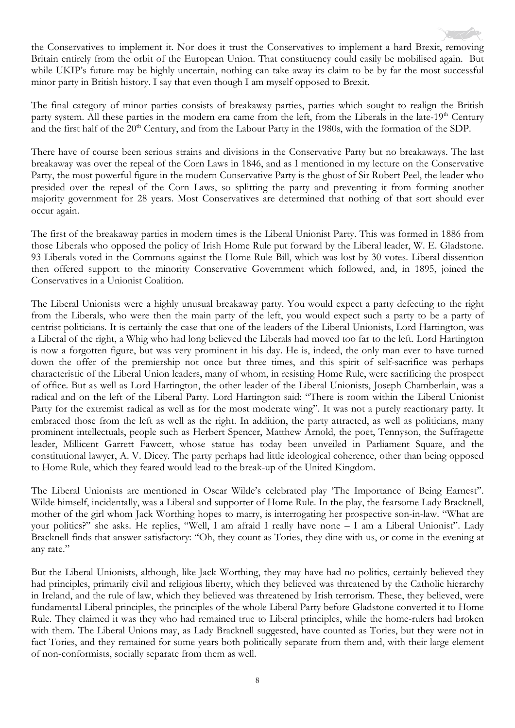the Conservatives to implement it. Nor does it trust the Conservatives to implement a hard Brexit, removing Britain entirely from the orbit of the European Union. That constituency could easily be mobilised again. But while UKIP's future may be highly uncertain, nothing can take away its claim to be by far the most successful minor party in British history. I say that even though I am myself opposed to Brexit.

The final category of minor parties consists of breakaway parties, parties which sought to realign the British party system. All these parties in the modern era came from the left, from the Liberals in the late-19<sup>th</sup> Century and the first half of the 20<sup>th</sup> Century, and from the Labour Party in the 1980s, with the formation of the SDP.

There have of course been serious strains and divisions in the Conservative Party but no breakaways. The last breakaway was over the repeal of the Corn Laws in 1846, and as I mentioned in my lecture on the Conservative Party, the most powerful figure in the modern Conservative Party is the ghost of Sir Robert Peel, the leader who presided over the repeal of the Corn Laws, so splitting the party and preventing it from forming another majority government for 28 years. Most Conservatives are determined that nothing of that sort should ever occur again.

The first of the breakaway parties in modern times is the Liberal Unionist Party. This was formed in 1886 from those Liberals who opposed the policy of Irish Home Rule put forward by the Liberal leader, W. E. Gladstone. 93 Liberals voted in the Commons against the Home Rule Bill, which was lost by 30 votes. Liberal dissention then offered support to the minority Conservative Government which followed, and, in 1895, joined the Conservatives in a Unionist Coalition.

The Liberal Unionists were a highly unusual breakaway party. You would expect a party defecting to the right from the Liberals, who were then the main party of the left, you would expect such a party to be a party of centrist politicians. It is certainly the case that one of the leaders of the Liberal Unionists, Lord Hartington, was a Liberal of the right, a Whig who had long believed the Liberals had moved too far to the left. Lord Hartington is now a forgotten figure, but was very prominent in his day. He is, indeed, the only man ever to have turned down the offer of the premiership not once but three times, and this spirit of self-sacrifice was perhaps characteristic of the Liberal Union leaders, many of whom, in resisting Home Rule, were sacrificing the prospect of office. But as well as Lord Hartington, the other leader of the Liberal Unionists, Joseph Chamberlain, was a radical and on the left of the Liberal Party. Lord Hartington said: "There is room within the Liberal Unionist Party for the extremist radical as well as for the most moderate wing". It was not a purely reactionary party. It embraced those from the left as well as the right. In addition, the party attracted, as well as politicians, many prominent intellectuals, people such as Herbert Spencer, Matthew Arnold, the poet, Tennyson, the Suffragette leader, Millicent Garrett Fawcett, whose statue has today been unveiled in Parliament Square, and the constitutional lawyer, A. V. Dicey. The party perhaps had little ideological coherence, other than being opposed to Home Rule, which they feared would lead to the break-up of the United Kingdom.

The Liberal Unionists are mentioned in Oscar Wilde's celebrated play 'The Importance of Being Earnest". Wilde himself, incidentally, was a Liberal and supporter of Home Rule. In the play, the fearsome Lady Bracknell, mother of the girl whom Jack Worthing hopes to marry, is interrogating her prospective son-in-law. "What are your politics?" she asks. He replies, "Well, I am afraid I really have none – I am a Liberal Unionist". Lady Bracknell finds that answer satisfactory: "Oh, they count as Tories, they dine with us, or come in the evening at any rate."

But the Liberal Unionists, although, like Jack Worthing, they may have had no politics, certainly believed they had principles, primarily civil and religious liberty, which they believed was threatened by the Catholic hierarchy in Ireland, and the rule of law, which they believed was threatened by Irish terrorism. These, they believed, were fundamental Liberal principles, the principles of the whole Liberal Party before Gladstone converted it to Home Rule. They claimed it was they who had remained true to Liberal principles, while the home-rulers had broken with them. The Liberal Unions may, as Lady Bracknell suggested, have counted as Tories, but they were not in fact Tories, and they remained for some years both politically separate from them and, with their large element of non-conformists, socially separate from them as well.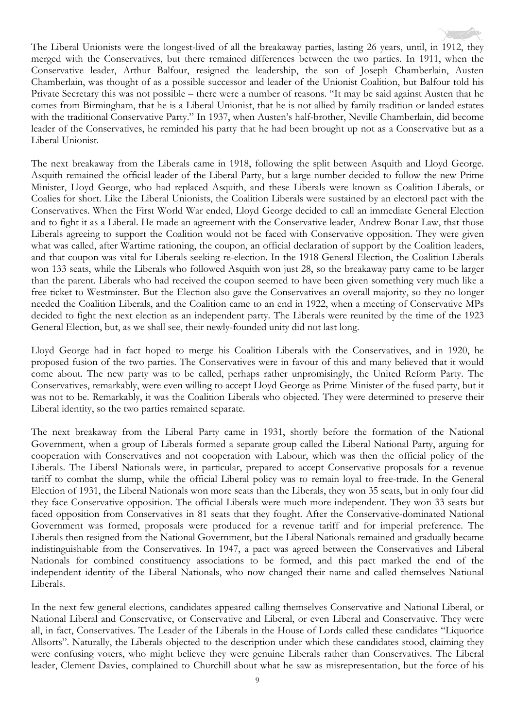The Liberal Unionists were the longest-lived of all the breakaway parties, lasting 26 years, until, in 1912, they merged with the Conservatives, but there remained differences between the two parties. In 1911, when the Conservative leader, Arthur Balfour, resigned the leadership, the son of Joseph Chamberlain, Austen Chamberlain, was thought of as a possible successor and leader of the Unionist Coalition, but Balfour told his Private Secretary this was not possible – there were a number of reasons. "It may be said against Austen that he comes from Birmingham, that he is a Liberal Unionist, that he is not allied by family tradition or landed estates with the traditional Conservative Party." In 1937, when Austen's half-brother, Neville Chamberlain, did become leader of the Conservatives, he reminded his party that he had been brought up not as a Conservative but as a Liberal Unionist.

The next breakaway from the Liberals came in 1918, following the split between Asquith and Lloyd George. Asquith remained the official leader of the Liberal Party, but a large number decided to follow the new Prime Minister, Lloyd George, who had replaced Asquith, and these Liberals were known as Coalition Liberals, or Coalies for short. Like the Liberal Unionists, the Coalition Liberals were sustained by an electoral pact with the Conservatives. When the First World War ended, Lloyd George decided to call an immediate General Election and to fight it as a Liberal. He made an agreement with the Conservative leader, Andrew Bonar Law, that those Liberals agreeing to support the Coalition would not be faced with Conservative opposition. They were given what was called, after Wartime rationing, the coupon, an official declaration of support by the Coalition leaders, and that coupon was vital for Liberals seeking re-election. In the 1918 General Election, the Coalition Liberals won 133 seats, while the Liberals who followed Asquith won just 28, so the breakaway party came to be larger than the parent. Liberals who had received the coupon seemed to have been given something very much like a free ticket to Westminster. But the Election also gave the Conservatives an overall majority, so they no longer needed the Coalition Liberals, and the Coalition came to an end in 1922, when a meeting of Conservative MPs decided to fight the next election as an independent party. The Liberals were reunited by the time of the 1923 General Election, but, as we shall see, their newly-founded unity did not last long.

Lloyd George had in fact hoped to merge his Coalition Liberals with the Conservatives, and in 1920, he proposed fusion of the two parties. The Conservatives were in favour of this and many believed that it would come about. The new party was to be called, perhaps rather unpromisingly, the United Reform Party. The Conservatives, remarkably, were even willing to accept Lloyd George as Prime Minister of the fused party, but it was not to be. Remarkably, it was the Coalition Liberals who objected. They were determined to preserve their Liberal identity, so the two parties remained separate.

The next breakaway from the Liberal Party came in 1931, shortly before the formation of the National Government, when a group of Liberals formed a separate group called the Liberal National Party, arguing for cooperation with Conservatives and not cooperation with Labour, which was then the official policy of the Liberals. The Liberal Nationals were, in particular, prepared to accept Conservative proposals for a revenue tariff to combat the slump, while the official Liberal policy was to remain loyal to free-trade. In the General Election of 1931, the Liberal Nationals won more seats than the Liberals, they won 35 seats, but in only four did they face Conservative opposition. The official Liberals were much more independent. They won 33 seats but faced opposition from Conservatives in 81 seats that they fought. After the Conservative-dominated National Government was formed, proposals were produced for a revenue tariff and for imperial preference. The Liberals then resigned from the National Government, but the Liberal Nationals remained and gradually became indistinguishable from the Conservatives. In 1947, a pact was agreed between the Conservatives and Liberal Nationals for combined constituency associations to be formed, and this pact marked the end of the independent identity of the Liberal Nationals, who now changed their name and called themselves National Liberals.

In the next few general elections, candidates appeared calling themselves Conservative and National Liberal, or National Liberal and Conservative, or Conservative and Liberal, or even Liberal and Conservative. They were all, in fact, Conservatives. The Leader of the Liberals in the House of Lords called these candidates "Liquorice Allsorts". Naturally, the Liberals objected to the description under which these candidates stood, claiming they were confusing voters, who might believe they were genuine Liberals rather than Conservatives. The Liberal leader, Clement Davies, complained to Churchill about what he saw as misrepresentation, but the force of his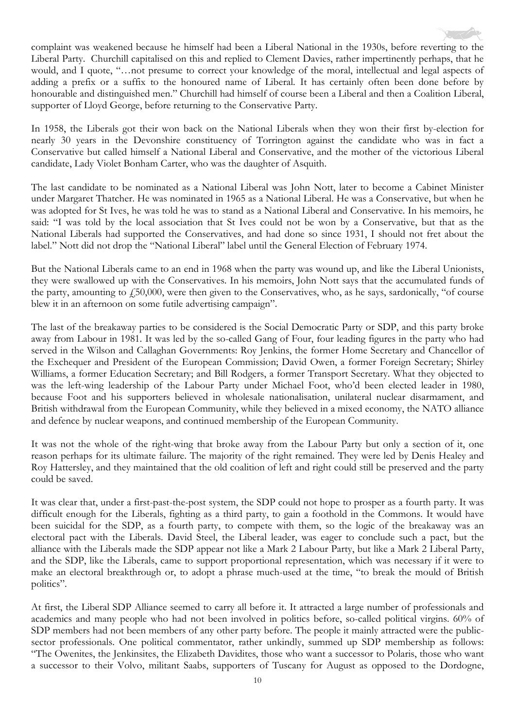

In 1958, the Liberals got their won back on the National Liberals when they won their first by-election for nearly 30 years in the Devonshire constituency of Torrington against the candidate who was in fact a Conservative but called himself a National Liberal and Conservative, and the mother of the victorious Liberal candidate, Lady Violet Bonham Carter, who was the daughter of Asquith.

The last candidate to be nominated as a National Liberal was John Nott, later to become a Cabinet Minister under Margaret Thatcher. He was nominated in 1965 as a National Liberal. He was a Conservative, but when he was adopted for St Ives, he was told he was to stand as a National Liberal and Conservative. In his memoirs, he said: "I was told by the local association that St Ives could not be won by a Conservative, but that as the National Liberals had supported the Conservatives, and had done so since 1931, I should not fret about the label." Nott did not drop the "National Liberal" label until the General Election of February 1974.

But the National Liberals came to an end in 1968 when the party was wound up, and like the Liberal Unionists, they were swallowed up with the Conservatives. In his memoirs, John Nott says that the accumulated funds of the party, amounting to  $f_{150,000}$ , were then given to the Conservatives, who, as he says, sardonically, "of course blew it in an afternoon on some futile advertising campaign".

The last of the breakaway parties to be considered is the Social Democratic Party or SDP, and this party broke away from Labour in 1981. It was led by the so-called Gang of Four, four leading figures in the party who had served in the Wilson and Callaghan Governments: Roy Jenkins, the former Home Secretary and Chancellor of the Exchequer and President of the European Commission; David Owen, a former Foreign Secretary; Shirley Williams, a former Education Secretary; and Bill Rodgers, a former Transport Secretary. What they objected to was the left-wing leadership of the Labour Party under Michael Foot, who'd been elected leader in 1980, because Foot and his supporters believed in wholesale nationalisation, unilateral nuclear disarmament, and British withdrawal from the European Community, while they believed in a mixed economy, the NATO alliance and defence by nuclear weapons, and continued membership of the European Community.

It was not the whole of the right-wing that broke away from the Labour Party but only a section of it, one reason perhaps for its ultimate failure. The majority of the right remained. They were led by Denis Healey and Roy Hattersley, and they maintained that the old coalition of left and right could still be preserved and the party could be saved.

It was clear that, under a first-past-the-post system, the SDP could not hope to prosper as a fourth party. It was difficult enough for the Liberals, fighting as a third party, to gain a foothold in the Commons. It would have been suicidal for the SDP, as a fourth party, to compete with them, so the logic of the breakaway was an electoral pact with the Liberals. David Steel, the Liberal leader, was eager to conclude such a pact, but the alliance with the Liberals made the SDP appear not like a Mark 2 Labour Party, but like a Mark 2 Liberal Party, and the SDP, like the Liberals, came to support proportional representation, which was necessary if it were to make an electoral breakthrough or, to adopt a phrase much-used at the time, "to break the mould of British politics".

At first, the Liberal SDP Alliance seemed to carry all before it. It attracted a large number of professionals and academics and many people who had not been involved in politics before, so-called political virgins. 60% of SDP members had not been members of any other party before. The people it mainly attracted were the publicsector professionals. One political commentator, rather unkindly, summed up SDP membership as follows: "The Owenites, the Jenkinsites, the Elizabeth Davidites, those who want a successor to Polaris, those who want a successor to their Volvo, militant Saabs, supporters of Tuscany for August as opposed to the Dordogne,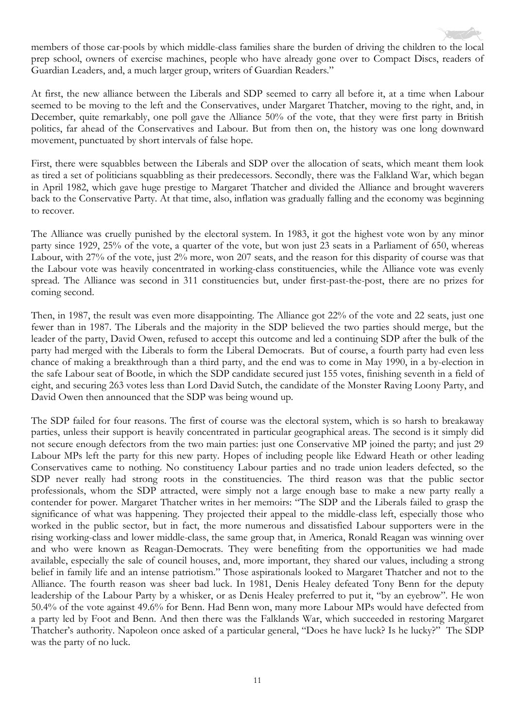members of those car-pools by which middle-class families share the burden of driving the children to the local prep school, owners of exercise machines, people who have already gone over to Compact Discs, readers of Guardian Leaders, and, a much larger group, writers of Guardian Readers."

At first, the new alliance between the Liberals and SDP seemed to carry all before it, at a time when Labour seemed to be moving to the left and the Conservatives, under Margaret Thatcher, moving to the right, and, in December, quite remarkably, one poll gave the Alliance 50% of the vote, that they were first party in British politics, far ahead of the Conservatives and Labour. But from then on, the history was one long downward movement, punctuated by short intervals of false hope.

First, there were squabbles between the Liberals and SDP over the allocation of seats, which meant them look as tired a set of politicians squabbling as their predecessors. Secondly, there was the Falkland War, which began in April 1982, which gave huge prestige to Margaret Thatcher and divided the Alliance and brought waverers back to the Conservative Party. At that time, also, inflation was gradually falling and the economy was beginning to recover.

The Alliance was cruelly punished by the electoral system. In 1983, it got the highest vote won by any minor party since 1929, 25% of the vote, a quarter of the vote, but won just 23 seats in a Parliament of 650, whereas Labour, with 27% of the vote, just 2% more, won 207 seats, and the reason for this disparity of course was that the Labour vote was heavily concentrated in working-class constituencies, while the Alliance vote was evenly spread. The Alliance was second in 311 constituencies but, under first-past-the-post, there are no prizes for coming second.

Then, in 1987, the result was even more disappointing. The Alliance got 22% of the vote and 22 seats, just one fewer than in 1987. The Liberals and the majority in the SDP believed the two parties should merge, but the leader of the party, David Owen, refused to accept this outcome and led a continuing SDP after the bulk of the party had merged with the Liberals to form the Liberal Democrats. But of course, a fourth party had even less chance of making a breakthrough than a third party, and the end was to come in May 1990, in a by-election in the safe Labour seat of Bootle, in which the SDP candidate secured just 155 votes, finishing seventh in a field of eight, and securing 263 votes less than Lord David Sutch, the candidate of the Monster Raving Loony Party, and David Owen then announced that the SDP was being wound up.

The SDP failed for four reasons. The first of course was the electoral system, which is so harsh to breakaway parties, unless their support is heavily concentrated in particular geographical areas. The second is it simply did not secure enough defectors from the two main parties: just one Conservative MP joined the party; and just 29 Labour MPs left the party for this new party. Hopes of including people like Edward Heath or other leading Conservatives came to nothing. No constituency Labour parties and no trade union leaders defected, so the SDP never really had strong roots in the constituencies. The third reason was that the public sector professionals, whom the SDP attracted, were simply not a large enough base to make a new party really a contender for power. Margaret Thatcher writes in her memoirs: "The SDP and the Liberals failed to grasp the significance of what was happening. They projected their appeal to the middle-class left, especially those who worked in the public sector, but in fact, the more numerous and dissatisfied Labour supporters were in the rising working-class and lower middle-class, the same group that, in America, Ronald Reagan was winning over and who were known as Reagan-Democrats. They were benefiting from the opportunities we had made available, especially the sale of council houses, and, more important, they shared our values, including a strong belief in family life and an intense patriotism." Those aspirationals looked to Margaret Thatcher and not to the Alliance. The fourth reason was sheer bad luck. In 1981, Denis Healey defeated Tony Benn for the deputy leadership of the Labour Party by a whisker, or as Denis Healey preferred to put it, "by an eyebrow". He won 50.4% of the vote against 49.6% for Benn. Had Benn won, many more Labour MPs would have defected from a party led by Foot and Benn. And then there was the Falklands War, which succeeded in restoring Margaret Thatcher's authority. Napoleon once asked of a particular general, "Does he have luck? Is he lucky?" The SDP was the party of no luck.